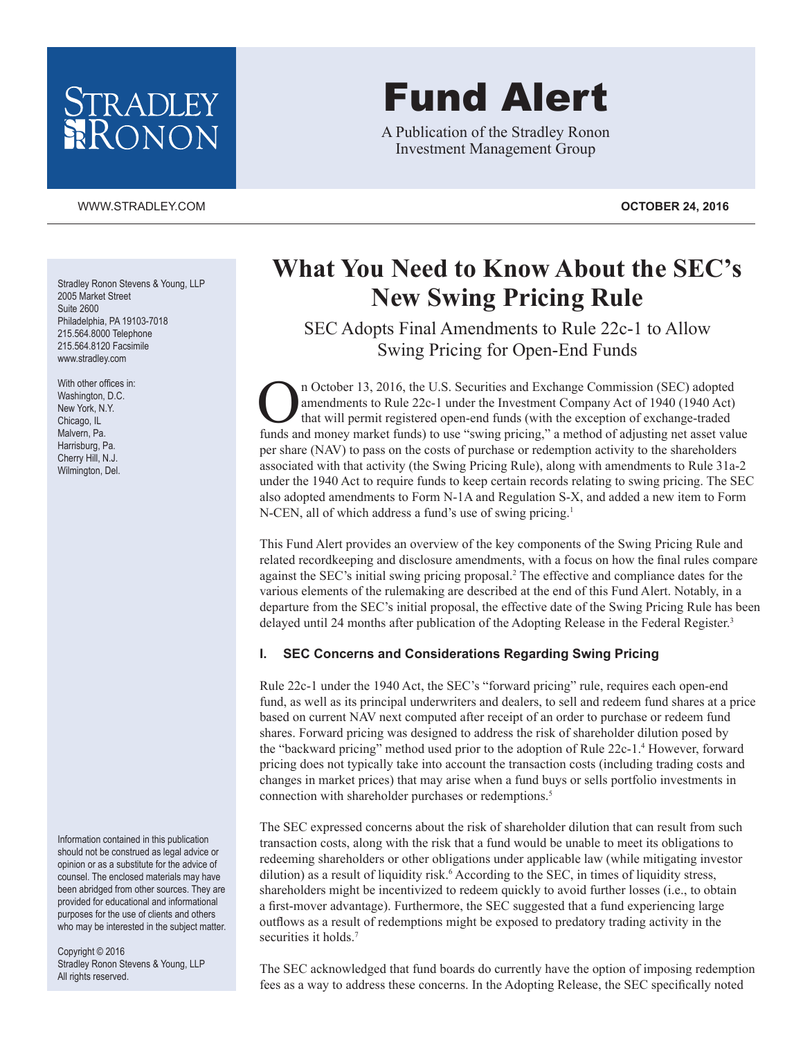# STRADLEY RONON

#### [WWW.STRADLEY.COM](www.stradley.com) **OCTOBER 24, 2016**

Stradley Ronon Stevens & Young, LLP 2005 Market Street Suite 2600 Philadelphia, PA 19103-7018 215.564.8000 Telephone 215.564.8120 Facsimile www.stradley.com

With other offices in: Washington, D.C. New York, N.Y. Chicago, IL Malvern, Pa. Harrisburg, Pa. Cherry Hill, N.J. Wilmington, Del.

Information contained in this publication should not be construed as legal advice or opinion or as a substitute for the advice of counsel. The enclosed materials may have been abridged from other sources. They are provided for educational and informational purposes for the use of clients and others who may be interested in the subject matter.

Copyright © 2016 Stradley Ronon Stevens & Young, LLP All rights reserved.

# Fund Alert

A Publication of the Stradley Ronon Investment Management Group

# **What You Need to Know About the SEC's New Swing Pricing Rule**

SEC Adopts Final Amendments to Rule 22c-1 to Allow Swing Pricing for Open-End Funds

n October 13, 2016, the U.S. Securities and Exchange Commission (SEC) adopted<br>amendments to Rule 22c-1 under the Investment Company Act of 1940 (1940 Act)<br>that will permit registered open-end funds (with the exception of e amendments to Rule 22c-1 under the Investment Company Act of 1940 (1940 Act) that will permit registered open-end funds (with the exception of exchange-traded funds and money market funds) to use "swing pricing," a method of adjusting net asset value per share (NAV) to pass on the costs of purchase or redemption activity to the shareholders associated with that activity (the Swing Pricing Rule), along with amendments to Rule 31a-2 under the 1940 Act to require funds to keep certain records relating to swing pricing. The SEC also adopted amendments to Form N-1A and Regulation S-X, and added a new item to Form N-CEN, all of which address a fund's use of swing pricing.<sup>1</sup>

This Fund Alert provides an overview of the key components of the Swing Pricing Rule and related recordkeeping and disclosure amendments, with a focus on how the final rules compare against the SEC's initial swing pricing proposal.2 The effective and compliance dates for the various elements of the rulemaking are described at the end of this Fund Alert. Notably, in a departure from the SEC's initial proposal, the effective date of the Swing Pricing Rule has been delayed until 24 months after publication of the Adopting Release in the Federal Register.<sup>3</sup>

### **I. SEC Concerns and Considerations Regarding Swing Pricing**

Rule 22c-1 under the 1940 Act, the SEC's "forward pricing" rule, requires each open-end fund, as well as its principal underwriters and dealers, to sell and redeem fund shares at a price based on current NAV next computed after receipt of an order to purchase or redeem fund shares. Forward pricing was designed to address the risk of shareholder dilution posed by the "backward pricing" method used prior to the adoption of Rule 22c-1.4 However, forward pricing does not typically take into account the transaction costs (including trading costs and changes in market prices) that may arise when a fund buys or sells portfolio investments in connection with shareholder purchases or redemptions.<sup>5</sup>

The SEC expressed concerns about the risk of shareholder dilution that can result from such transaction costs, along with the risk that a fund would be unable to meet its obligations to redeeming shareholders or other obligations under applicable law (while mitigating investor dilution) as a result of liquidity risk.<sup>6</sup> According to the SEC, in times of liquidity stress, shareholders might be incentivized to redeem quickly to avoid further losses (i.e., to obtain a first-mover advantage). Furthermore, the SEC suggested that a fund experiencing large outflows as a result of redemptions might be exposed to predatory trading activity in the securities it holds.<sup>7</sup>

The SEC acknowledged that fund boards do currently have the option of imposing redemption fees as a way to address these concerns. In the Adopting Release, the SEC specifically noted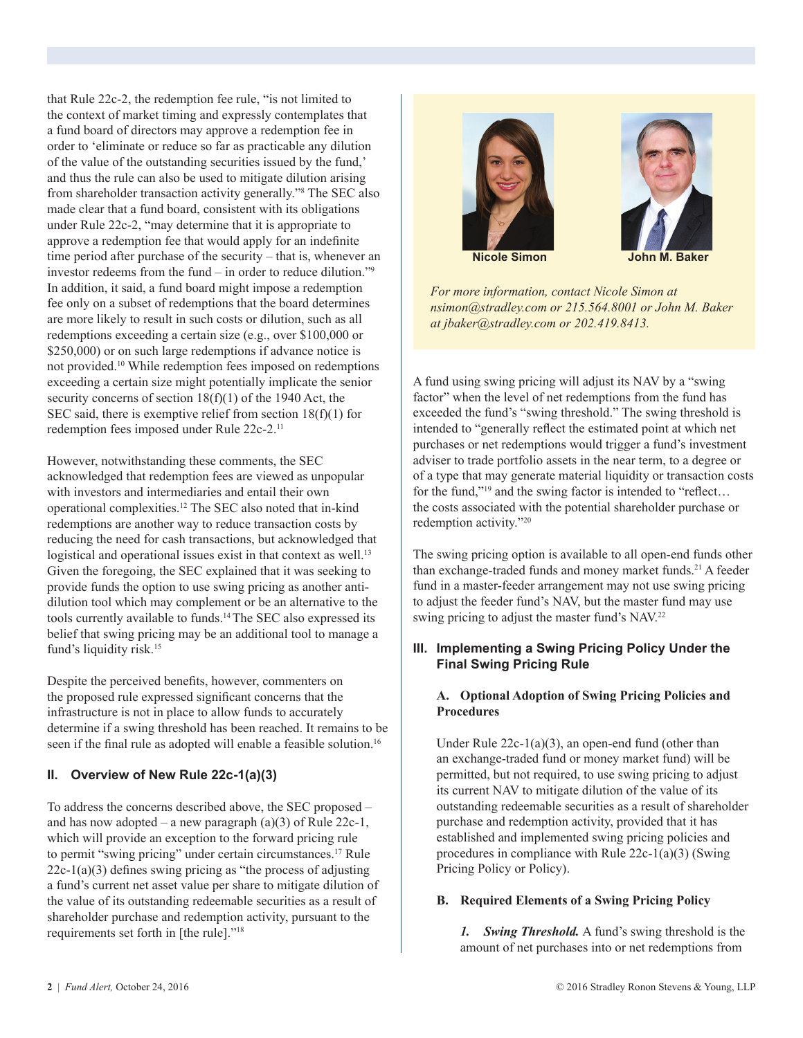that Rule 22c-2, the redemption fee rule, "is not limited to the context of market timing and expressly contemplates that a fund board of directors may approve a redemption fee in order to 'eliminate or reduce so far as practicable any dilution of the value of the outstanding securities issued by the fund,' and thus the rule can also be used to mitigate dilution arising from shareholder transaction activity generally."8 The SEC also made clear that a fund board, consistent with its obligations under Rule 22c-2, "may determine that it is appropriate to approve a redemption fee that would apply for an indefinite time period after purchase of the security – that is, whenever an investor redeems from the fund – in order to reduce dilution."9 In addition, it said, a fund board might impose a redemption fee only on a subset of redemptions that the board determines are more likely to result in such costs or dilution, such as all redemptions exceeding a certain size (e.g., over \$100,000 or \$250,000) or on such large redemptions if advance notice is not provided.10 While redemption fees imposed on redemptions exceeding a certain size might potentially implicate the senior security concerns of section 18(f)(1) of the 1940 Act, the SEC said, there is exemptive relief from section  $18(f)(1)$  for redemption fees imposed under Rule 22c-2.11

However, notwithstanding these comments, the SEC acknowledged that redemption fees are viewed as unpopular with investors and intermediaries and entail their own operational complexities.12 The SEC also noted that in-kind redemptions are another way to reduce transaction costs by reducing the need for cash transactions, but acknowledged that logistical and operational issues exist in that context as well.<sup>13</sup> Given the foregoing, the SEC explained that it was seeking to provide funds the option to use swing pricing as another antidilution tool which may complement or be an alternative to the tools currently available to funds.14 The SEC also expressed its belief that swing pricing may be an additional tool to manage a fund's liquidity risk.<sup>15</sup>

Despite the perceived benefits, however, commenters on the proposed rule expressed significant concerns that the infrastructure is not in place to allow funds to accurately determine if a swing threshold has been reached. It remains to be seen if the final rule as adopted will enable a feasible solution.<sup>16</sup>

### **II. Overview of New Rule 22c-1(a)(3)**

To address the concerns described above, the SEC proposed – and has now adopted – a new paragraph  $(a)(3)$  of Rule 22c-1, which will provide an exception to the forward pricing rule to permit "swing pricing" under certain circumstances.17 Rule  $22c-1(a)(3)$  defines swing pricing as "the process of adjusting a fund's current net asset value per share to mitigate dilution of the value of its outstanding redeemable securities as a result of shareholder purchase and redemption activity, pursuant to the requirements set forth in [the rule]."18





**Nicole Simon John M. Baker**

*For more information, contact Nicole Simon at nsimon@stradley.com or 215.564.8001 or John M. Baker at jbaker@stradley.com or 202.419.8413.*

A fund using swing pricing will adjust its NAV by a "swing factor" when the level of net redemptions from the fund has exceeded the fund's "swing threshold." The swing threshold is intended to "generally reflect the estimated point at which net purchases or net redemptions would trigger a fund's investment adviser to trade portfolio assets in the near term, to a degree or of a type that may generate material liquidity or transaction costs for the fund,"19 and the swing factor is intended to "reflect… the costs associated with the potential shareholder purchase or redemption activity."20

The swing pricing option is available to all open-end funds other than exchange-traded funds and money market funds.<sup>21</sup> A feeder fund in a master-feeder arrangement may not use swing pricing to adjust the feeder fund's NAV, but the master fund may use swing pricing to adjust the master fund's NAV.<sup>22</sup>

### **III. Implementing a Swing Pricing Policy Under the Final Swing Pricing Rule**

# **A. Optional Adoption of Swing Pricing Policies and Procedures**

 Under Rule 22c-1(a)(3), an open-end fund (other than an exchange-traded fund or money market fund) will be permitted, but not required, to use swing pricing to adjust its current NAV to mitigate dilution of the value of its outstanding redeemable securities as a result of shareholder purchase and redemption activity, provided that it has established and implemented swing pricing policies and procedures in compliance with Rule 22c-1(a)(3) (Swing Pricing Policy or Policy).

### **B. Required Elements of a Swing Pricing Policy**

 *1. Swing Threshold.* A fund's swing threshold is the amount of net purchases into or net redemptions from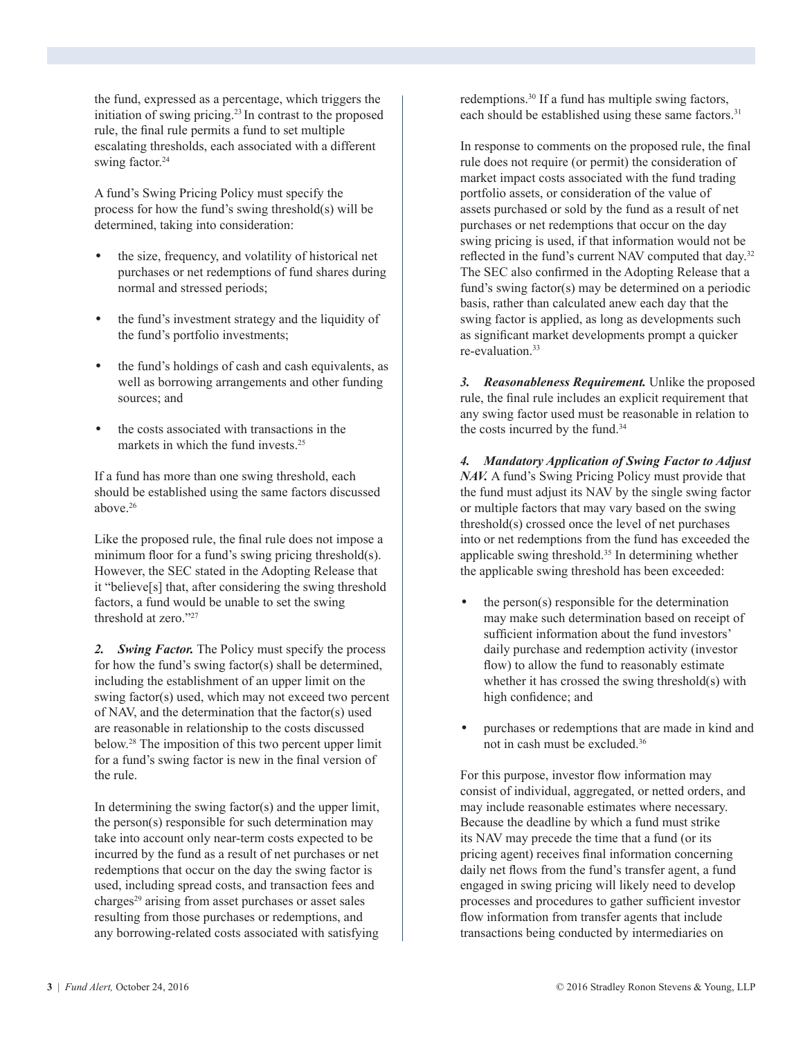the fund, expressed as a percentage, which triggers the initiation of swing pricing.23 In contrast to the proposed rule, the final rule permits a fund to set multiple escalating thresholds, each associated with a different swing factor.<sup>24</sup>

 A fund's Swing Pricing Policy must specify the process for how the fund's swing threshold(s) will be determined, taking into consideration:

- the size, frequency, and volatility of historical net purchases or net redemptions of fund shares during normal and stressed periods;
- the fund's investment strategy and the liquidity of the fund's portfolio investments;
- the fund's holdings of cash and cash equivalents, as well as borrowing arrangements and other funding sources; and
- the costs associated with transactions in the markets in which the fund invests.<sup>25</sup>

 If a fund has more than one swing threshold, each should be established using the same factors discussed above.26

Like the proposed rule, the final rule does not impose a minimum floor for a fund's swing pricing threshold(s). However, the SEC stated in the Adopting Release that it "believe[s] that, after considering the swing threshold factors, a fund would be unable to set the swing threshold at zero."27

 *2. Swing Factor.* The Policy must specify the process for how the fund's swing factor(s) shall be determined, including the establishment of an upper limit on the swing factor(s) used, which may not exceed two percent of NAV, and the determination that the factor(s) used are reasonable in relationship to the costs discussed below.28 The imposition of this two percent upper limit for a fund's swing factor is new in the final version of the rule.

 In determining the swing factor(s) and the upper limit, the person(s) responsible for such determination may take into account only near-term costs expected to be incurred by the fund as a result of net purchases or net redemptions that occur on the day the swing factor is used, including spread costs, and transaction fees and charges<sup>29</sup> arising from asset purchases or asset sales resulting from those purchases or redemptions, and any borrowing-related costs associated with satisfying

redemptions.30 If a fund has multiple swing factors, each should be established using these same factors.<sup>31</sup>

In response to comments on the proposed rule, the final rule does not require (or permit) the consideration of market impact costs associated with the fund trading portfolio assets, or consideration of the value of assets purchased or sold by the fund as a result of net purchases or net redemptions that occur on the day swing pricing is used, if that information would not be reflected in the fund's current NAV computed that day.<sup>32</sup> The SEC also confirmed in the Adopting Release that a fund's swing factor(s) may be determined on a periodic basis, rather than calculated anew each day that the swing factor is applied, as long as developments such as significant market developments prompt a quicker re-evaluation<sup>33</sup>

 *3. Reasonableness Requirement.* Unlike the proposed rule, the final rule includes an explicit requirement that any swing factor used must be reasonable in relation to the costs incurred by the fund.34

 *4. Mandatory Application of Swing Factor to Adjust NAV.* A fund's Swing Pricing Policy must provide that the fund must adjust its NAV by the single swing factor or multiple factors that may vary based on the swing threshold(s) crossed once the level of net purchases into or net redemptions from the fund has exceeded the applicable swing threshold.35 In determining whether the applicable swing threshold has been exceeded:

- the person(s) responsible for the determination may make such determination based on receipt of sufficient information about the fund investors' daily purchase and redemption activity (investor flow) to allow the fund to reasonably estimate whether it has crossed the swing threshold(s) with high confidence; and
- purchases or redemptions that are made in kind and not in cash must be excluded.36

 For this purpose, investor flow information may consist of individual, aggregated, or netted orders, and may include reasonable estimates where necessary. Because the deadline by which a fund must strike its NAV may precede the time that a fund (or its pricing agent) receives final information concerning daily net flows from the fund's transfer agent, a fund engaged in swing pricing will likely need to develop processes and procedures to gather sufficient investor flow information from transfer agents that include transactions being conducted by intermediaries on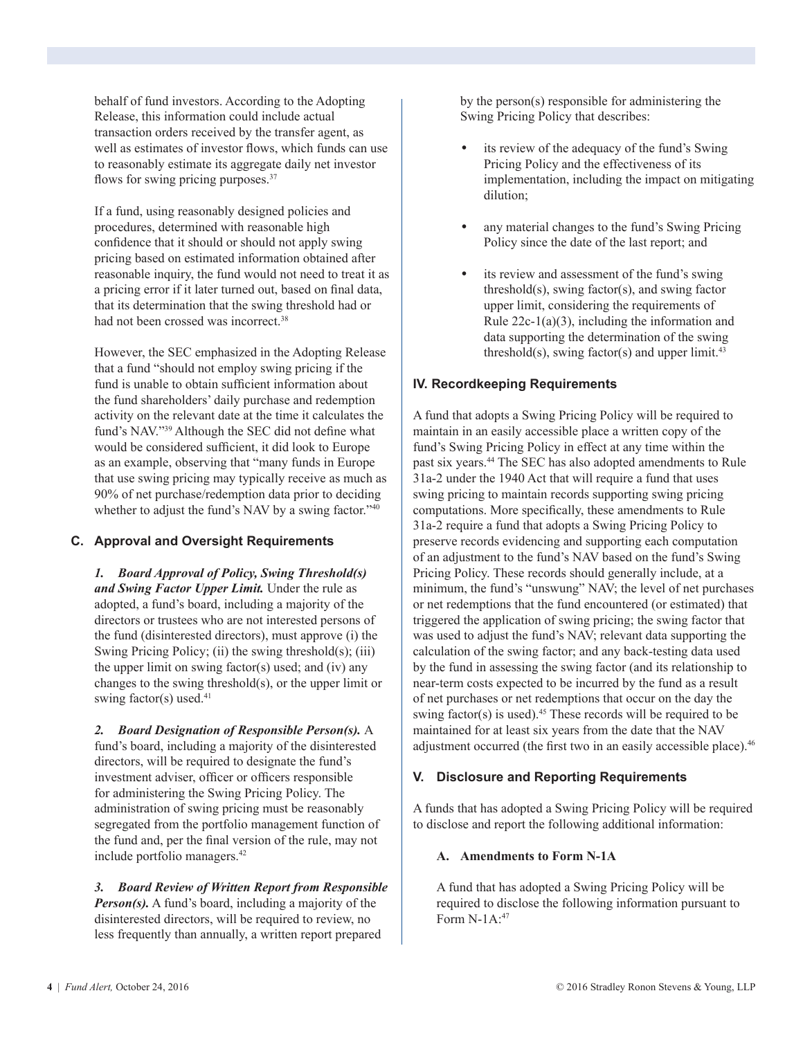behalf of fund investors. According to the Adopting Release, this information could include actual transaction orders received by the transfer agent, as well as estimates of investor flows, which funds can use to reasonably estimate its aggregate daily net investor flows for swing pricing purposes.<sup>37</sup>

 If a fund, using reasonably designed policies and procedures, determined with reasonable high confidence that it should or should not apply swing pricing based on estimated information obtained after reasonable inquiry, the fund would not need to treat it as a pricing error if it later turned out, based on final data, that its determination that the swing threshold had or had not been crossed was incorrect.<sup>38</sup>

 However, the SEC emphasized in the Adopting Release that a fund "should not employ swing pricing if the fund is unable to obtain sufficient information about the fund shareholders' daily purchase and redemption activity on the relevant date at the time it calculates the fund's NAV."39 Although the SEC did not define what would be considered sufficient, it did look to Europe as an example, observing that "many funds in Europe that use swing pricing may typically receive as much as 90% of net purchase/redemption data prior to deciding whether to adjust the fund's NAV by a swing factor."<sup>40</sup>

# **C. Approval and Oversight Requirements**

 *1. Board Approval of Policy, Swing Threshold(s) and Swing Factor Upper Limit.* Under the rule as adopted, a fund's board, including a majority of the directors or trustees who are not interested persons of the fund (disinterested directors), must approve (i) the Swing Pricing Policy; (ii) the swing threshold $(s)$ ; (iii) the upper limit on swing factor(s) used; and (iv) any changes to the swing threshold(s), or the upper limit or swing factor(s) used. $41$ 

 *2. Board Designation of Responsible Person(s).* A fund's board, including a majority of the disinterested directors, will be required to designate the fund's investment adviser, officer or officers responsible for administering the Swing Pricing Policy. The administration of swing pricing must be reasonably segregated from the portfolio management function of the fund and, per the final version of the rule, may not include portfolio managers.42

 *3. Board Review of Written Report from Responsible Person(s).* A fund's board, including a majority of the disinterested directors, will be required to review, no less frequently than annually, a written report prepared

by the person(s) responsible for administering the Swing Pricing Policy that describes:

- its review of the adequacy of the fund's Swing Pricing Policy and the effectiveness of its implementation, including the impact on mitigating dilution;
- any material changes to the fund's Swing Pricing Policy since the date of the last report; and
- its review and assessment of the fund's swing threshold(s), swing factor(s), and swing factor upper limit, considering the requirements of Rule  $22c-1(a)(3)$ , including the information and data supporting the determination of the swing threshold(s), swing factor(s) and upper limit.<sup>43</sup>

# **IV. Recordkeeping Requirements**

A fund that adopts a Swing Pricing Policy will be required to maintain in an easily accessible place a written copy of the fund's Swing Pricing Policy in effect at any time within the past six years.44 The SEC has also adopted amendments to Rule 31a-2 under the 1940 Act that will require a fund that uses swing pricing to maintain records supporting swing pricing computations. More specifically, these amendments to Rule 31a-2 require a fund that adopts a Swing Pricing Policy to preserve records evidencing and supporting each computation of an adjustment to the fund's NAV based on the fund's Swing Pricing Policy. These records should generally include, at a minimum, the fund's "unswung" NAV; the level of net purchases or net redemptions that the fund encountered (or estimated) that triggered the application of swing pricing; the swing factor that was used to adjust the fund's NAV; relevant data supporting the calculation of the swing factor; and any back-testing data used by the fund in assessing the swing factor (and its relationship to near-term costs expected to be incurred by the fund as a result of net purchases or net redemptions that occur on the day the swing factor(s) is used).<sup>45</sup> These records will be required to be maintained for at least six years from the date that the NAV adjustment occurred (the first two in an easily accessible place).<sup>46</sup>

### **V. Disclosure and Reporting Requirements**

A funds that has adopted a Swing Pricing Policy will be required to disclose and report the following additional information:

#### **A. Amendments to Form N-1A**

 A fund that has adopted a Swing Pricing Policy will be required to disclose the following information pursuant to Form N-1A:47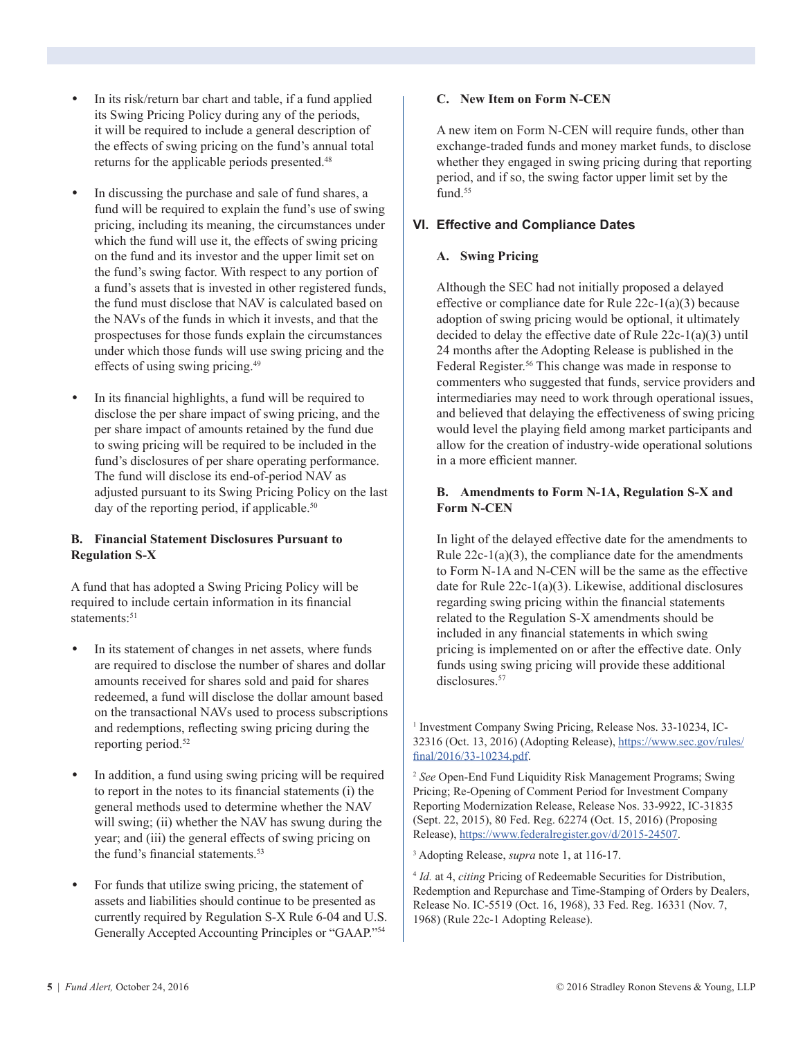- In its risk/return bar chart and table, if a fund applied its Swing Pricing Policy during any of the periods, it will be required to include a general description of the effects of swing pricing on the fund's annual total returns for the applicable periods presented.48
- In discussing the purchase and sale of fund shares, a fund will be required to explain the fund's use of swing pricing, including its meaning, the circumstances under which the fund will use it, the effects of swing pricing on the fund and its investor and the upper limit set on the fund's swing factor. With respect to any portion of a fund's assets that is invested in other registered funds, the fund must disclose that NAV is calculated based on the NAVs of the funds in which it invests, and that the prospectuses for those funds explain the circumstances under which those funds will use swing pricing and the effects of using swing pricing.49
- In its financial highlights, a fund will be required to disclose the per share impact of swing pricing, and the per share impact of amounts retained by the fund due to swing pricing will be required to be included in the fund's disclosures of per share operating performance. The fund will disclose its end-of-period NAV as adjusted pursuant to its Swing Pricing Policy on the last day of the reporting period, if applicable.<sup>50</sup>

#### **B. Financial Statement Disclosures Pursuant to Regulation S-X**

 A fund that has adopted a Swing Pricing Policy will be required to include certain information in its financial statements<sup>-51</sup>

- In its statement of changes in net assets, where funds are required to disclose the number of shares and dollar amounts received for shares sold and paid for shares redeemed, a fund will disclose the dollar amount based on the transactional NAVs used to process subscriptions and redemptions, reflecting swing pricing during the reporting period.<sup>52</sup>
- In addition, a fund using swing pricing will be required to report in the notes to its financial statements (i) the general methods used to determine whether the NAV will swing; (ii) whether the NAV has swung during the year; and (iii) the general effects of swing pricing on the fund's financial statements.<sup>53</sup>
- For funds that utilize swing pricing, the statement of assets and liabilities should continue to be presented as currently required by Regulation S-X Rule 6-04 and U.S. Generally Accepted Accounting Principles or "GAAP."54

#### **C. New Item on Form N-CEN**

 A new item on Form N-CEN will require funds, other than exchange-traded funds and money market funds, to disclose whether they engaged in swing pricing during that reporting period, and if so, the swing factor upper limit set by the fund.<sup>55</sup>

#### **VI. Effective and Compliance Dates**

#### **A. Swing Pricing**

 Although the SEC had not initially proposed a delayed effective or compliance date for Rule 22c-1(a)(3) because adoption of swing pricing would be optional, it ultimately decided to delay the effective date of Rule 22c-1(a)(3) until 24 months after the Adopting Release is published in the Federal Register.<sup>56</sup> This change was made in response to commenters who suggested that funds, service providers and intermediaries may need to work through operational issues, and believed that delaying the effectiveness of swing pricing would level the playing field among market participants and allow for the creation of industry-wide operational solutions in a more efficient manner.

#### **B. Amendments to Form N-1A, Regulation S-X and Form N-CEN**

 In light of the delayed effective date for the amendments to Rule  $22c-1(a)(3)$ , the compliance date for the amendments to Form N-1A and N-CEN will be the same as the effective date for Rule 22c-1(a)(3). Likewise, additional disclosures regarding swing pricing within the financial statements related to the Regulation S-X amendments should be included in any financial statements in which swing pricing is implemented on or after the effective date. Only funds using swing pricing will provide these additional disclosures.<sup>57</sup>

<sup>1</sup> Investment Company Swing Pricing, Release Nos. 33-10234, IC-32316 (Oct. 13, 2016) (Adopting Release), [https://www.sec.gov/rules/](https://www.sec.gov/rules/final/2016/33-10234.pdf) [final/2016/33-10234.pdf](https://www.sec.gov/rules/final/2016/33-10234.pdf).

<sup>2</sup> *See* Open-End Fund Liquidity Risk Management Programs; Swing Pricing; Re-Opening of Comment Period for Investment Company Reporting Modernization Release, Release Nos. 33-9922, IC-31835 (Sept. 22, 2015), 80 Fed. Reg. 62274 (Oct. 15, 2016) (Proposing Release), [https://www.federalregister.gov/d/2015-24507.](https://www.federalregister.gov/d/2015-24507)

3 Adopting Release, *supra* note 1, at 116-17.

<sup>4</sup> *Id.* at 4, *citing* Pricing of Redeemable Securities for Distribution, Redemption and Repurchase and Time-Stamping of Orders by Dealers, Release No. IC-5519 (Oct. 16, 1968), 33 Fed. Reg. 16331 (Nov. 7, 1968) (Rule 22c-1 Adopting Release).